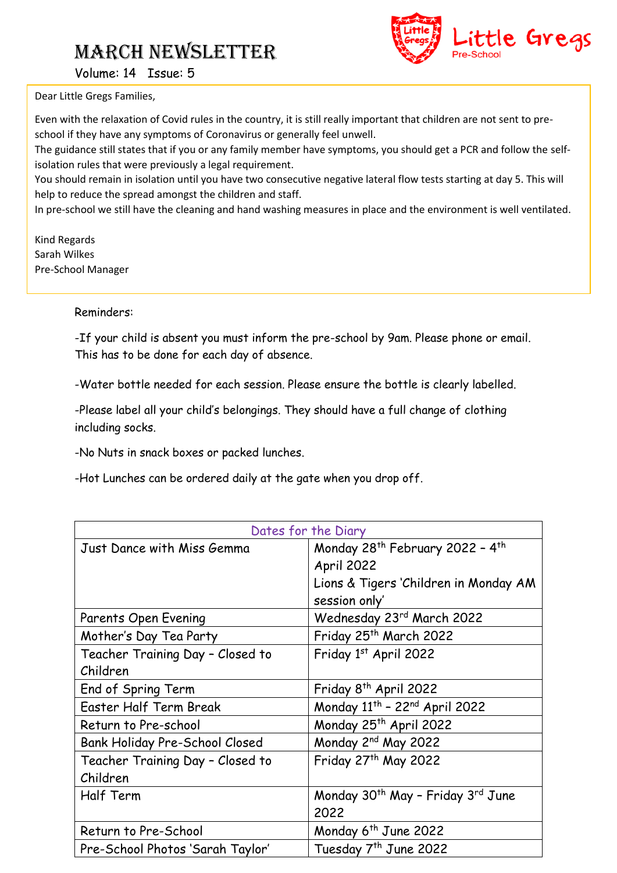# March NEWSLETTER



Volume: 14 Issue: 5

Dear Little Gregs Families,

Even with the relaxation of Covid rules in the country, it is still really important that children are not sent to preschool if they have any symptoms of Coronavirus or generally feel unwell.

The guidance still states that if you or any family member have symptoms, you should get a PCR and follow the selfisolation rules that were previously a legal requirement.

You should remain in isolation until you have two consecutive negative lateral flow tests starting at day 5. This will help to reduce the spread amongst the children and staff.

In pre-school we still have the cleaning and hand washing measures in place and the environment is well ventilated.

Kind Regards Sarah Wilkes Pre-School Manager

#### Reminders:

-If your child is absent you must inform the pre-school by 9am. Please phone or email. This has to be done for each day of absence.

-Water bottle needed for each session. Please ensure the bottle is clearly labelled.

-Please label all your child's belongings. They should have a full change of clothing including socks.

-No Nuts in snack boxes or packed lunches.

-Hot Lunches can be ordered daily at the gate when you drop off.

| Dates for the Diary              |                                                           |
|----------------------------------|-----------------------------------------------------------|
| Just Dance with Miss Gemma       | Monday 28 <sup>th</sup> February 2022 - 4 <sup>th</sup>   |
|                                  | April 2022                                                |
|                                  | Lions & Tigers 'Children in Monday AM                     |
|                                  | session only'                                             |
| Parents Open Evening             | Wednesday 23rd March 2022                                 |
| Mother's Day Tea Party           | Friday 25 <sup>th</sup> March 2022                        |
| Teacher Training Day - Closed to | Friday 1st April 2022                                     |
| Children                         |                                                           |
| End of Spring Term               | Friday 8 <sup>th</sup> April 2022                         |
| Easter Half Term Break           | Monday 11 <sup>th</sup> - 22 <sup>nd</sup> April 2022     |
| Return to Pre-school             | Monday 25th April 2022                                    |
| Bank Holiday Pre-School Closed   | Monday 2 <sup>nd</sup> May 2022                           |
| Teacher Training Day - Closed to | Friday 27th May 2022                                      |
| Children                         |                                                           |
| Half Term                        | Monday 30 <sup>th</sup> May - Friday 3 <sup>rd</sup> June |
|                                  | 2022                                                      |
| Return to Pre-School             | Monday 6 <sup>th</sup> June 2022                          |
| Pre-School Photos 'Sarah Taylor' | Tuesday 7 <sup>th</sup> June 2022                         |